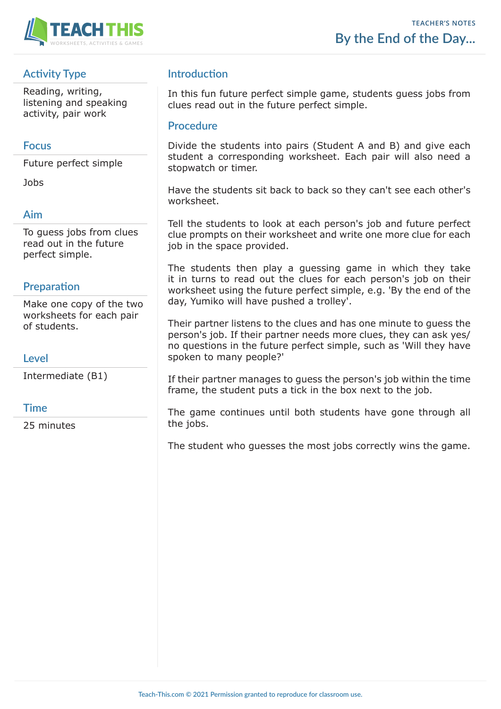

# **Activity Type**

Reading, writing, listening and speaking activity, pair work

### **Focus**

Future perfect simple

Jobs

## **Aim**

To guess jobs from clues read out in the future perfect simple.

## **Preparation**

Make one copy of the two worksheets for each pair of students.

#### **Level**

Intermediate (B1)

### **Time**

25 minutes

## **Introduction**

In this fun future perfect simple game, students guess jobs from clues read out in the future perfect simple.

#### **Procedure**

Divide the students into pairs (Student A and B) and give each student a corresponding worksheet. Each pair will also need a stopwatch or timer.

Have the students sit back to back so they can't see each other's worksheet.

Tell the students to look at each person's job and future perfect clue prompts on their worksheet and write one more clue for each job in the space provided.

The students then play a guessing game in which they take it in turns to read out the clues for each person's job on their worksheet using the future perfect simple, e.g. 'By the end of the day, Yumiko will have pushed a trolley'.

Their partner listens to the clues and has one minute to guess the person's job. If their partner needs more clues, they can ask yes/ no questions in the future perfect simple, such as 'Will they have spoken to many people?'

If their partner manages to guess the person's job within the time frame, the student puts a tick in the box next to the job.

The game continues until both students have gone through all the jobs.

The student who guesses the most jobs correctly wins the game.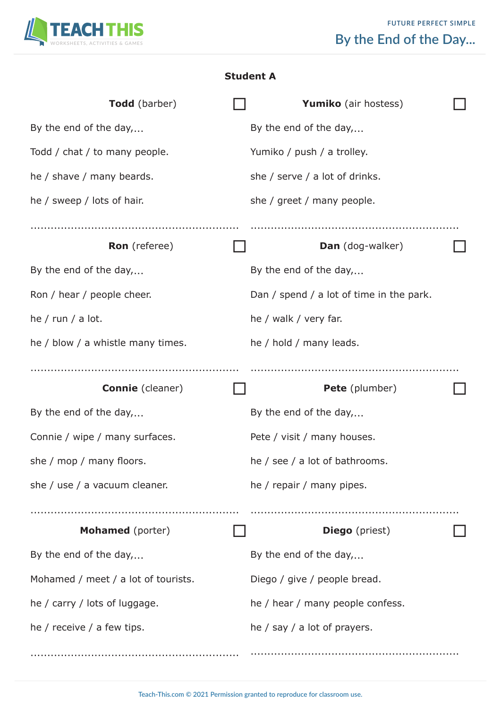

| <b>Student A</b> |  |
|------------------|--|
|------------------|--|

| <b>Todd</b> (barber)                | <b>Yumiko</b> (air hostess)              |  |
|-------------------------------------|------------------------------------------|--|
| By the end of the day,              | By the end of the day,                   |  |
| Todd / chat / to many people.       | Yumiko / push / a trolley.               |  |
| he / shave / many beards.           | she / serve / a lot of drinks.           |  |
| he / sweep / lots of hair.          | she / greet / many people.               |  |
|                                     |                                          |  |
| <b>Ron</b> (referee)                | <b>Dan</b> (dog-walker)                  |  |
| By the end of the day,              | By the end of the day,                   |  |
| Ron / hear / people cheer.          | Dan / spend / a lot of time in the park. |  |
| he / run / a lot.                   | he / walk / very far.                    |  |
| he / blow / a whistle many times.   | he / hold / many leads.                  |  |
|                                     |                                          |  |
| <b>Connie</b> (cleaner)             | Pete (plumber)                           |  |
| By the end of the day,              | By the end of the day,                   |  |
| Connie / wipe / many surfaces.      | Pete / visit / many houses.              |  |
| she / mop / many floors.            | he / see / a lot of bathrooms.           |  |
|                                     |                                          |  |
| she / use / a vacuum cleaner.       | he / repair / many pipes.                |  |
|                                     |                                          |  |
| Mohamed (porter)                    | <b>Diego</b> (priest)                    |  |
| By the end of the day,              | By the end of the day,                   |  |
| Mohamed / meet / a lot of tourists. | Diego / give / people bread.             |  |
| he / carry / lots of luggage.       | he / hear / many people confess.         |  |
| he / receive / a few tips.          | he $/$ say $/$ a lot of prayers.         |  |